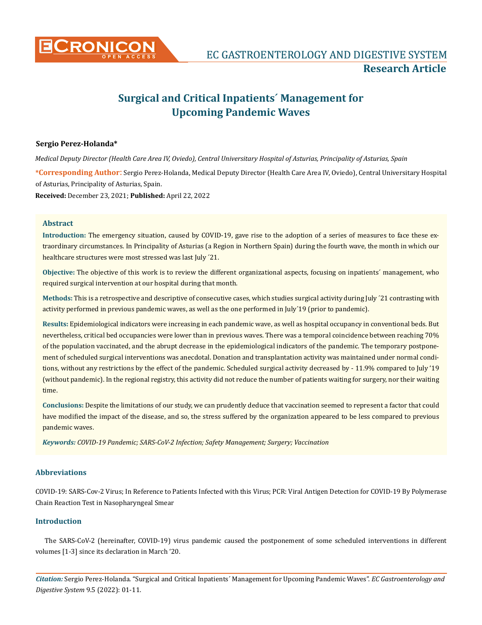

# **Surgical and Critical Inpatients´ Management for Upcoming Pandemic Waves**

## **Sergio Perez-Holanda\***

**\*Corresponding Author**: Sergio Perez-Holanda, Medical Deputy Director (Health Care Area IV, Oviedo), Central Universitary Hospital of Asturias, Principality of Asturias, Spain. **Received:** December 23, 2021; **Published:** April 22, 2022 *Medical Deputy Director (Health Care Area IV, Oviedo), Central Universitary Hospital of Asturias, Principality of Asturias, Spain*

#### **Abstract**

**Introduction:** The emergency situation, caused by COVID-19, gave rise to the adoption of a series of measures to face these extraordinary circumstances. In Principality of Asturias (a Region in Northern Spain) during the fourth wave, the month in which our healthcare structures were most stressed was last July ´21.

**Objective:** The objective of this work is to review the different organizational aspects, focusing on inpatients´ management, who required surgical intervention at our hospital during that month.

**Methods:** This is a retrospective and descriptive of consecutive cases, which studies surgical activity during July ´21 contrasting with activity performed in previous pandemic waves, as well as the one performed in July´19 (prior to pandemic).

**Results:** Epidemiological indicators were increasing in each pandemic wave, as well as hospital occupancy in conventional beds. But nevertheless, critical bed occupancies were lower than in previous waves. There was a temporal coincidence between reaching 70% of the population vaccinated, and the abrupt decrease in the epidemiological indicators of the pandemic. The temporary postponement of scheduled surgical interventions was anecdotal. Donation and transplantation activity was maintained under normal conditions, without any restrictions by the effect of the pandemic. Scheduled surgical activity decreased by - 11.9% compared to July '19 (without pandemic). In the regional registry, this activity did not reduce the number of patients waiting for surgery, nor their waiting time.

**Conclusions:** Despite the limitations of our study, we can prudently deduce that vaccination seemed to represent a factor that could have modified the impact of the disease, and so, the stress suffered by the organization appeared to be less compared to previous pandemic waves.

*Keywords: COVID-19 Pandemic; SARS-CoV-2 Infection; Safety Management; Surgery; Vaccination*

## **Abbreviations**

COVID-19: SARS-Cov-2 Virus; In Reference to Patients Infected with this Virus; PCR: Viral Antigen Detection for COVID-19 By Polymerase Chain Reaction Test in Nasopharyngeal Smear

## **Introduction**

The SARS-CoV-2 (hereinafter, COVID-19) virus pandemic caused the postponement of some scheduled interventions in different volumes [1-3] since its declaration in March '20.

*Citation:* Sergio Perez-Holanda*.* "Surgical and Critical Inpatients´ Management for Upcoming Pandemic Waves". *EC Gastroenterology and Digestive System* 9.5 (2022): 01-11.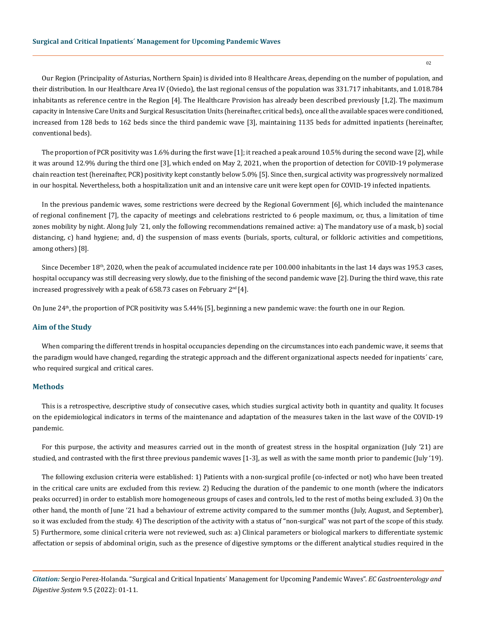Our Region (Principality of Asturias, Northern Spain) is divided into 8 Healthcare Areas, depending on the number of population, and their distribution. In our Healthcare Area IV (Oviedo), the last regional census of the population was 331.717 inhabitants, and 1.018.784 inhabitants as reference centre in the Region [4]. The Healthcare Provision has already been described previously [1,2]. The maximum capacity in Intensive Care Units and Surgical Resuscitation Units (hereinafter, critical beds), once all the available spaces were conditioned, increased from 128 beds to 162 beds since the third pandemic wave [3], maintaining 1135 beds for admitted inpatients (hereinafter, conventional beds).

The proportion of PCR positivity was 1.6% during the first wave [1]; it reached a peak around 10.5% during the second wave [2], while it was around 12.9% during the third one [3], which ended on May 2, 2021, when the proportion of detection for COVID-19 polymerase chain reaction test (hereinafter, PCR) positivity kept constantly below 5.0% [5]. Since then, surgical activity was progressively normalized in our hospital. Nevertheless, both a hospitalization unit and an intensive care unit were kept open for COVID-19 infected inpatients.

In the previous pandemic waves, some restrictions were decreed by the Regional Government [6], which included the maintenance of regional confinement [7], the capacity of meetings and celebrations restricted to 6 people maximum, or, thus, a limitation of time zones mobility by night. Along July ´21, only the following recommendations remained active: a) The mandatory use of a mask, b) social distancing, c) hand hygiene; and, d) the suspension of mass events (burials, sports, cultural, or folkloric activities and competitions, among others) [8].

Since December 18<sup>th</sup>, 2020, when the peak of accumulated incidence rate per 100.000 inhabitants in the last 14 days was 195.3 cases, hospital occupancy was still decreasing very slowly, due to the finishing of the second pandemic wave [2]. During the third wave, this rate increased progressively with a peak of 658.73 cases on February  $2<sup>nd</sup>$  [4].

On June 24<sup>th</sup>, the proportion of PCR positivity was 5.44% [5], beginning a new pandemic wave: the fourth one in our Region.

#### **Aim of the Study**

When comparing the different trends in hospital occupancies depending on the circumstances into each pandemic wave, it seems that the paradigm would have changed, regarding the strategic approach and the different organizational aspects needed for inpatients´ care, who required surgical and critical cares.

## **Methods**

This is a retrospective, descriptive study of consecutive cases, which studies surgical activity both in quantity and quality. It focuses on the epidemiological indicators in terms of the maintenance and adaptation of the measures taken in the last wave of the COVID-19 pandemic.

For this purpose, the activity and measures carried out in the month of greatest stress in the hospital organization (July '21) are studied, and contrasted with the first three previous pandemic waves [1-3], as well as with the same month prior to pandemic (July '19).

The following exclusion criteria were established: 1) Patients with a non-surgical profile (co-infected or not) who have been treated in the critical care units are excluded from this review. 2) Reducing the duration of the pandemic to one month (where the indicators peaks occurred) in order to establish more homogeneous groups of cases and controls, led to the rest of moths being excluded. 3) On the other hand, the month of June '21 had a behaviour of extreme activity compared to the summer months (July, August, and September), so it was excluded from the study. 4) The description of the activity with a status of "non-surgical" was not part of the scope of this study. 5) Furthermore, some clinical criteria were not reviewed, such as: a) Clinical parameters or biological markers to differentiate systemic affectation or sepsis of abdominal origin, such as the presence of digestive symptoms or the different analytical studies required in the

*Citation:* Sergio Perez-Holanda*.* "Surgical and Critical Inpatients´ Management for Upcoming Pandemic Waves". *EC Gastroenterology and Digestive System* 9.5 (2022): 01-11.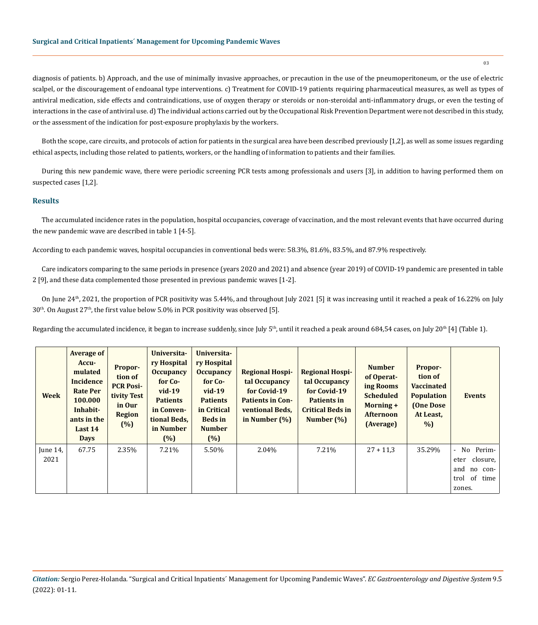diagnosis of patients. b) Approach, and the use of minimally invasive approaches, or precaution in the use of the pneumoperitoneum, or the use of electric scalpel, or the discouragement of endoanal type interventions. c) Treatment for COVID-19 patients requiring pharmaceutical measures, as well as types of antiviral medication, side effects and contraindications, use of oxygen therapy or steroids or non-steroidal anti-inflammatory drugs, or even the testing of interactions in the case of antiviral use. d) The individual actions carried out by the Occupational Risk Prevention Department were not described in this study, or the assessment of the indication for post-exposure prophylaxis by the workers.

Both the scope, care circuits, and protocols of action for patients in the surgical area have been described previously [1,2], as well as some issues regarding ethical aspects, including those related to patients, workers, or the handling of information to patients and their families.

During this new pandemic wave, there were periodic screening PCR tests among professionals and users [3], in addition to having performed them on suspected cases [1,2].

#### **Results**

The accumulated incidence rates in the population, hospital occupancies, coverage of vaccination, and the most relevant events that have occurred during the new pandemic wave are described in table 1 [4-5].

According to each pandemic waves, hospital occupancies in conventional beds were: 58.3%, 81.6%, 83.5%, and 87.9% respectively.

Care indicators comparing to the same periods in presence (years 2020 and 2021) and absence (year 2019) of COVID-19 pandemic are presented in table 2 [9], and these data complemented those presented in previous pandemic waves [1-2].

On June 24<sup>th</sup>, 2021, the proportion of PCR positivity was 5.44%, and throughout July 2021 [5] it was increasing until it reached a peak of 16.22% on July  $30<sup>th</sup>$ . On August  $27<sup>th</sup>$ , the first value below 5.0% in PCR positivity was observed [5].

Regarding the accumulated incidence, it began to increase suddenly, since July  $5<sup>th</sup>$ , until it reached a peak around 684,54 cases, on July 20<sup>th</sup> [4] (Table 1).

| <b>Week</b>      | <b>Average of</b><br>Accu-<br>mulated<br><b>Incidence</b><br><b>Rate Per</b><br>100.000<br>Inhabit-<br>ants in the<br>Last 14<br><b>Days</b> | Propor-<br>tion of<br><b>PCR Posi-</b><br>tivity Test<br>in Our<br><b>Region</b><br>(%) | Universita-<br>ry Hospital<br><b>Occupancy</b><br>for Co-<br>$vid-19$<br><b>Patients</b><br>in Conven-<br>tional Beds,<br>in Number<br>$(\%)$ | Universita-<br>ry Hospital<br><b>Occupancy</b><br>for Co-<br>$vid-19$<br><b>Patients</b><br>in Critical<br><b>Beds</b> in<br><b>Number</b><br>(%) | <b>Regional Hospi-</b><br>tal Occupancy<br>for Covid-19<br><b>Patients in Con-</b><br>ventional Beds,<br>in Number $(\%)$ | <b>Regional Hospi-</b><br>tal Occupancy<br>for Covid-19<br><b>Patients in</b><br><b>Critical Beds in</b><br>Number $(\%)$ | <b>Number</b><br>of Operat-<br>ing Rooms<br><b>Scheduled</b><br>Morning +<br><b>Afternoon</b><br>(Average) | Propor-<br>tion of<br><b>Vaccinated</b><br><b>Population</b><br>(One Dose<br>At Least,<br>%) | <b>Events</b>                                                                                 |
|------------------|----------------------------------------------------------------------------------------------------------------------------------------------|-----------------------------------------------------------------------------------------|-----------------------------------------------------------------------------------------------------------------------------------------------|---------------------------------------------------------------------------------------------------------------------------------------------------|---------------------------------------------------------------------------------------------------------------------------|---------------------------------------------------------------------------------------------------------------------------|------------------------------------------------------------------------------------------------------------|----------------------------------------------------------------------------------------------|-----------------------------------------------------------------------------------------------|
| June 14.<br>2021 | 67.75                                                                                                                                        | 2.35%                                                                                   | 7.21%                                                                                                                                         | 5.50%                                                                                                                                             | 2.04%                                                                                                                     | 7.21%                                                                                                                     | $27 + 11,3$                                                                                                | 35.29%                                                                                       | Perim-<br>No.<br>$\sim$<br>closure,<br>eter<br>and<br>no con-<br>of<br>trol<br>time<br>zones. |

*Citation:* Sergio Perez-Holanda*.* "Surgical and Critical Inpatients´ Management for Upcoming Pandemic Waves". *EC Gastroenterology and Digestive System* 9.5 (2022): 01-11.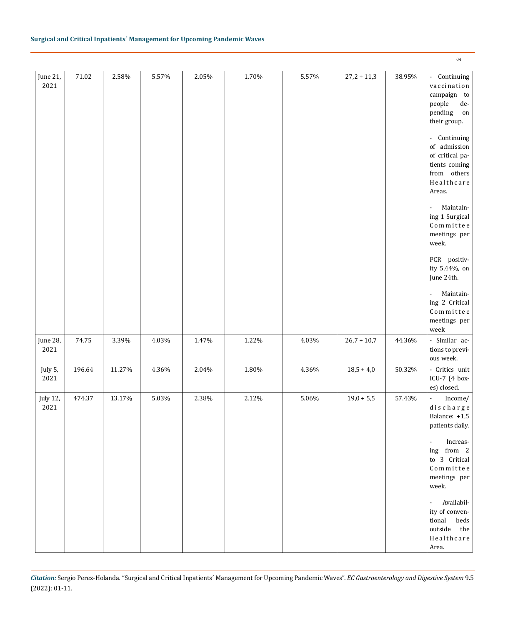| June 21,<br>2021 | $71.02\,$ | 2.58%  | 5.57% | 2.05% | 1.70% | 5.57% | $27,2 + 11,3$ | 38.95% | - Continuing<br>vaccination<br>campaign to<br>$\operatorname{\textsf{people}}$<br>$_{\rm de}$ $\,$<br>pending<br>on<br>their group.<br>Continuing<br>$\blacksquare$<br>of admission<br>of critical pa-<br>tients coming<br>from others<br>Healthcare<br>Areas.<br>Maintain-<br>$\blacksquare$<br>ing 1 Surgical<br>Commitee<br>meetings per<br>week.<br>PCR positiv-<br>ity 5,44%, on<br>June 24th.<br>Maintain-<br>$\blacksquare$<br>ing 2 Critical<br>$\texttt{Commitree}$<br>meetings per<br>week |
|------------------|-----------|--------|-------|-------|-------|-------|---------------|--------|------------------------------------------------------------------------------------------------------------------------------------------------------------------------------------------------------------------------------------------------------------------------------------------------------------------------------------------------------------------------------------------------------------------------------------------------------------------------------------------------------|
| June 28,<br>2021 | 74.75     | 3.39%  | 4.03% | 1.47% | 1.22% | 4.03% | $26,7 + 10,7$ | 44.36% | - Similar ac-<br>tions to previ-<br>ous week.                                                                                                                                                                                                                                                                                                                                                                                                                                                        |
| July 5,<br>2021  | 196.64    | 11.27% | 4.36% | 2.04% | 1.80% | 4.36% | $18,5 + 4,0$  | 50.32% | - Critics unit<br>ICU-7 (4 box-<br>es) closed.                                                                                                                                                                                                                                                                                                                                                                                                                                                       |
| July 12,<br>2021 | 474.37    | 13.17% | 5.03% | 2.38% | 2.12% | 5.06% | $19,0 + 5,5$  | 57.43% | $\blacksquare$<br>Income/<br>$\,d$ ischarge<br>Balance: +1,5<br>patients daily.<br>Increas-<br>$\blacksquare$<br>ing from 2<br>to 3 Critical<br>Committee<br>meetings per<br>week.<br>$\frac{1}{2}$<br>Availabil-<br>ity of conven-<br>tional<br>beds<br>outside<br>the<br>Healthcare<br>Area.                                                                                                                                                                                                       |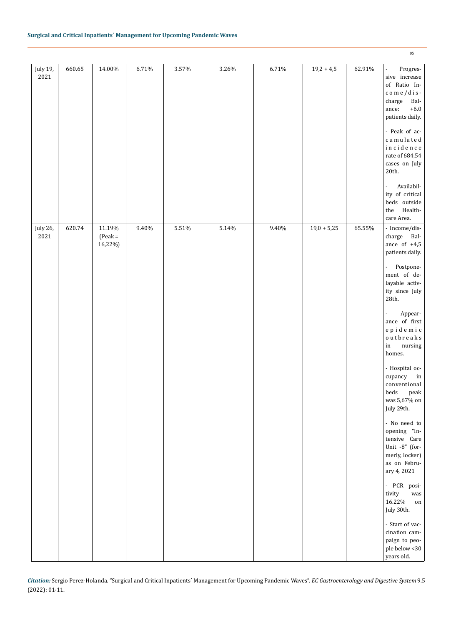| July 19,<br>2021 | 660.65 | 14.00%                         | 6.71% | 3.57%    | 3.26% | 6.71% | $19,2 + 4,5$  | 62.91% | Progres-<br>$\omega$<br>sive increase<br>of Ratio In-<br>$com$ e / dis-<br>Bal-<br>charge<br>$+6.0$<br>ance:<br>patients daily.<br>- Peak of ac-<br>cumulated<br>incidence<br>rate of 684,54<br>cases on July<br>20th. |
|------------------|--------|--------------------------------|-------|----------|-------|-------|---------------|--------|------------------------------------------------------------------------------------------------------------------------------------------------------------------------------------------------------------------------|
|                  |        |                                |       |          |       |       |               |        | Availabil-<br>$\overline{\phantom{a}}$<br>ity of critical<br>beds outside<br>Health-<br>$^{\rm the}$<br>care Area.                                                                                                     |
| July 26,<br>2021 | 620.74 | 11.19%<br>$(Peak =$<br>16,22%) | 9.40% | $5.51\%$ | 5.14% | 9.40% | $19,0 + 5,25$ | 65.55% | - Income/dis-<br>charge Bal-<br>ance of $+4,5$<br>patients daily.                                                                                                                                                      |
|                  |        |                                |       |          |       |       |               |        | Postpone-<br>$\Box$<br>ment of de-<br>layable activ-<br>ity since July<br>28th.                                                                                                                                        |
|                  |        |                                |       |          |       |       |               |        | Appear-<br>$\blacksquare$<br>ance of first<br>$e$ pidemic<br>$0$ utbreaks<br>$\,$ in<br>nursing<br>homes.                                                                                                              |
|                  |        |                                |       |          |       |       |               |        | - Hospital oc-<br>cupancy<br>in<br>conventional<br>beds<br>peak<br>was 5,67% on<br>July 29th.                                                                                                                          |
|                  |        |                                |       |          |       |       |               |        | - No need to<br>opening "In-<br>tensive Care<br>Unit -8" (for-<br>merly, locker)<br>as on Febru-<br>ary 4, 2021                                                                                                        |
|                  |        |                                |       |          |       |       |               |        | - PCR posi-<br>tivity<br>was<br>16.22%<br>on<br>July 30th.                                                                                                                                                             |
|                  |        |                                |       |          |       |       |               |        | - Start of vac-<br>cination cam-<br>paign to peo-<br>ple below <30<br>years old.                                                                                                                                       |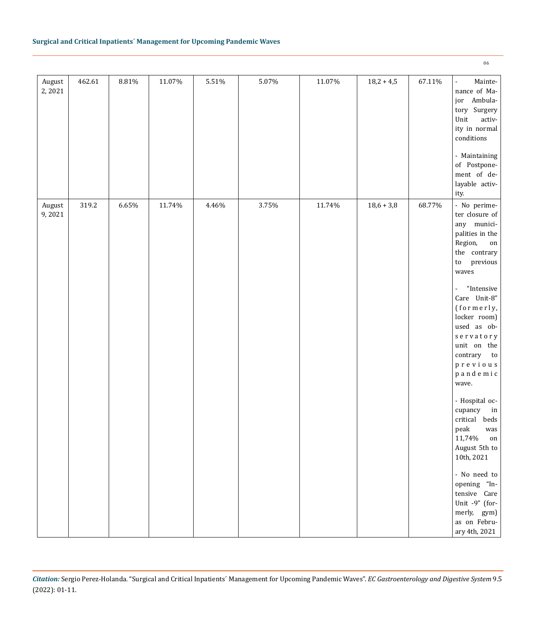| August<br>2,2021 | 462.61 | $8.81\%$ | 11.07% | $5.51\%$ | 5.07% | 11.07% | $18,2 + 4,5$ | 67.11% | Mainte-<br>$\blacksquare$<br>nance of Ma-<br>jor Ambula-<br>tory Surgery<br>Unit<br>$\operatorname{\sf activ-}$<br>ity in normal<br>$conditions$<br>- Maintaining<br>of Postpone-<br>ment of de-<br>layable activ-<br>ity.                                                                                                                                                                                                                                                                                                                                                                                     |
|------------------|--------|----------|--------|----------|-------|--------|--------------|--------|----------------------------------------------------------------------------------------------------------------------------------------------------------------------------------------------------------------------------------------------------------------------------------------------------------------------------------------------------------------------------------------------------------------------------------------------------------------------------------------------------------------------------------------------------------------------------------------------------------------|
| August<br>9,2021 | 319.2  | $6.65\%$ | 11.74% | 4.46%    | 3.75% | 11.74% | $18,6 + 3,8$ | 68.77% | - No perime-<br>ter closure of<br>any munici-<br>palities in the<br>Region,<br>on<br>the contrary<br>previous<br>$\mathop{\mathrm{to}}$<br>waves<br>$^{\prime\prime}$ Intensive<br>$\overline{\phantom{a}}$<br>Care Unit-8"<br>(formerly,<br>locker room)<br>used as ob-<br>servatory<br>unit on the<br>contrary<br>to<br>$\mathfrak p$ r e v i o u s<br>pandemic<br>wave.<br>- Hospital oc-<br>cupancy<br>in<br>critical beds<br>peak was<br>11,74%<br>on<br>August 5th to<br>10th, 2021<br>- No need to<br>opening "In-<br>tensive Care<br>Unit $-9$ " (for-<br>merly, gym)<br>as on Febru-<br>ary 4th, 2021 |

*Citation:* Sergio Perez-Holanda*.* "Surgical and Critical Inpatients´ Management for Upcoming Pandemic Waves". *EC Gastroenterology and Digestive System* 9.5 (2022): 01-11.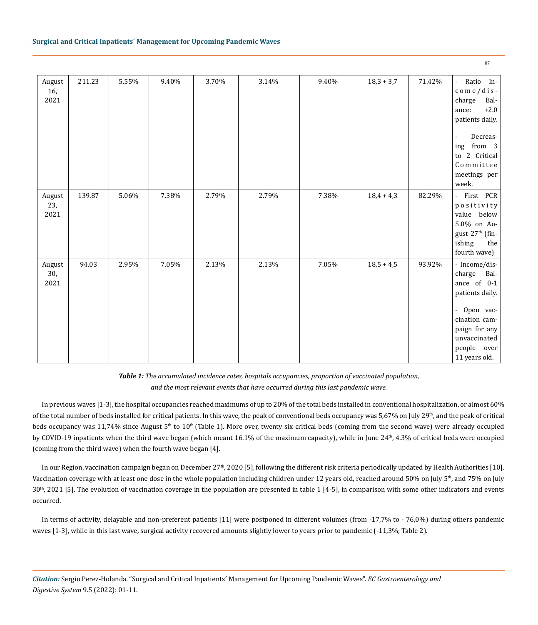| August<br>16,<br>2021 | 211.23 | 5.55% | 9.40% | 3.70% | 3.14% | 9.40% | $18,3 + 3,7$ | 71.42% | Ratio In-<br>ä,<br>$\cos$ o m e / d i s -<br>charge<br>Bal-<br>$+2.0$<br>ance:<br>patients daily.<br>Decreas-<br>from 3<br>ing<br>to 2 Critical<br>Committee<br>meetings per<br>week. |
|-----------------------|--------|-------|-------|-------|-------|-------|--------------|--------|---------------------------------------------------------------------------------------------------------------------------------------------------------------------------------------|
| August<br>23,<br>2021 | 139.87 | 5.06% | 7.38% | 2.79% | 2.79% | 7.38% | $18,4 + 4,3$ | 82.29% | - First PCR<br>positivity<br>value below<br>5.0% on Au-<br>gust 27 <sup>th</sup> (fin-<br>ishing<br>the<br>fourth wave)                                                               |
| August<br>30,<br>2021 | 94.03  | 2.95% | 7.05% | 2.13% | 2.13% | 7.05% | $18,5 + 4,5$ | 93.92% | - Income/dis-<br>charge Bal-<br>ance of 0-1<br>patients daily.<br>- Open vac-<br>cination cam-<br>paign for any<br>unvaccinated<br>people over<br>11 years old.                       |

*Table 1: The accumulated incidence rates, hospitals occupancies, proportion of vaccinated population, and the most relevant events that have occurred during this last pandemic wave.*

In previous waves [1-3], the hospital occupancies reached maximums of up to 20% of the total beds installed in conventional hospitalization, or almost 60% of the total number of beds installed for critical patients. In this wave, the peak of conventional beds occupancy was  $5,67%$  on July  $29<sup>th</sup>$ , and the peak of critical beds occupancy was 11,74% since August  $5<sup>th</sup>$  to 10<sup>th</sup> (Table 1). More over, twenty-six critical beds (coming from the second wave) were already occupied by COVID-19 inpatients when the third wave began (which meant 16.1% of the maximum capacity), while in June 24<sup>th</sup>, 4.3% of critical beds were occupied (coming from the third wave) when the fourth wave began [4].

In our Region, vaccination campaign began on December 27<sup>th</sup>, 2020 [5], following the different risk criteria periodically updated by Health Authorities [10]. Vaccination coverage with at least one dose in the whole population including children under 12 years old, reached around 50% on July  $5<sup>th</sup>$ , and 75% on July  $30<sup>th</sup>$ , 2021 [5]. The evolution of vaccination coverage in the population are presented in table 1 [4-5], in comparison with some other indicators and events occurred.

In terms of activity, delayable and non-preferent patients [11] were postponed in different volumes (from -17,7% to - 76,0%) during others pandemic waves [1-3], while in this last wave, surgical activity recovered amounts slightly lower to years prior to pandemic (-11,3%; Table 2).

*Citation:* Sergio Perez-Holanda*.* "Surgical and Critical Inpatients´ Management for Upcoming Pandemic Waves". *EC Gastroenterology and Digestive System* 9.5 (2022): 01-11.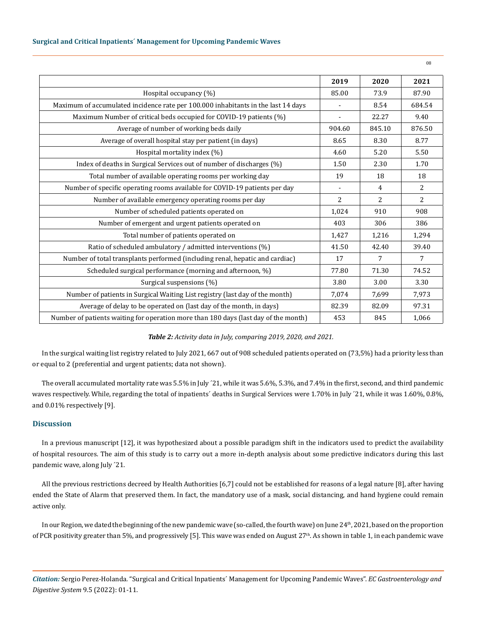|                                                                                     | 2019   | 2020           | 2021           |
|-------------------------------------------------------------------------------------|--------|----------------|----------------|
| Hospital occupancy (%)                                                              | 85.00  | 73.9           | 87.90          |
| Maximum of accumulated incidence rate per 100.000 inhabitants in the last 14 days   |        | 8.54           | 684.54         |
| Maximum Number of critical beds occupied for COVID-19 patients (%)                  |        | 22.27          | 9.40           |
| Average of number of working beds daily                                             | 904.60 | 845.10         | 876.50         |
| Average of overall hospital stay per patient (in days)                              | 8.65   | 8.30           | 8.77           |
| Hospital mortality index (%)                                                        | 4.60   | 5.20           | 5.50           |
| Index of deaths in Surgical Services out of number of discharges (%)                | 1.50   | 2.30           | 1.70           |
| Total number of available operating rooms per working day                           | 19     | 18             | 18             |
| Number of specific operating rooms available for COVID-19 patients per day          |        | $\overline{4}$ | $\overline{2}$ |
| Number of available emergency operating rooms per day                               | 2      | 2              | $\overline{2}$ |
| Number of scheduled patients operated on                                            | 1,024  | 910            | 908            |
| Number of emergent and urgent patients operated on                                  | 403    | 306            | 386            |
| Total number of patients operated on                                                | 1,427  | 1,216          | 1,294          |
| Ratio of scheduled ambulatory / admitted interventions (%)                          | 41.50  | 42.40          | 39.40          |
| Number of total transplants performed (including renal, hepatic and cardiac)        | 17     | 7              | 7              |
| Scheduled surgical performance (morning and afternoon, %)                           | 77.80  | 71.30          | 74.52          |
| Surgical suspensions (%)                                                            | 3.80   | 3.00           | 3.30           |
| Number of patients in Surgical Waiting List registry (last day of the month)        | 7,074  | 7,699          | 7,973          |
| Average of delay to be operated on (last day of the month, in days)                 | 82.39  | 82.09          | 97.31          |
| Number of patients waiting for operation more than 180 days (last day of the month) | 453    | 845            | 1,066          |

#### *Table 2: Activity data in July, comparing 2019, 2020, and 2021.*

In the surgical waiting list registry related to July 2021, 667 out of 908 scheduled patients operated on (73,5%) had a priority less than or equal to 2 (preferential and urgent patients; data not shown).

The overall accumulated mortality rate was 5.5% in July ´21, while it was 5.6%, 5.3%, and 7.4% in the first, second, and third pandemic waves respectively. While, regarding the total of inpatients´ deaths in Surgical Services were 1.70% in July ´21, while it was 1.60%, 0.8%, and 0.01% respectively [9].

## **Discussion**

In a previous manuscript [12], it was hypothesized about a possible paradigm shift in the indicators used to predict the availability of hospital resources. The aim of this study is to carry out a more in-depth analysis about some predictive indicators during this last pandemic wave, along July ´21.

All the previous restrictions decreed by Health Authorities [6,7] could not be established for reasons of a legal nature [8], after having ended the State of Alarm that preserved them. In fact, the mandatory use of a mask, social distancing, and hand hygiene could remain active only.

In our Region, we dated the beginning of the new pandemic wave (so-called, the fourth wave) on June  $24<sup>th</sup>$ , 2021, based on the proportion of PCR positivity greater than 5%, and progressively [5]. This wave was ended on August  $27<sup>th</sup>$ . As shown in table 1, in each pandemic wave

*Citation:* Sergio Perez-Holanda*.* "Surgical and Critical Inpatients´ Management for Upcoming Pandemic Waves". *EC Gastroenterology and Digestive System* 9.5 (2022): 01-11.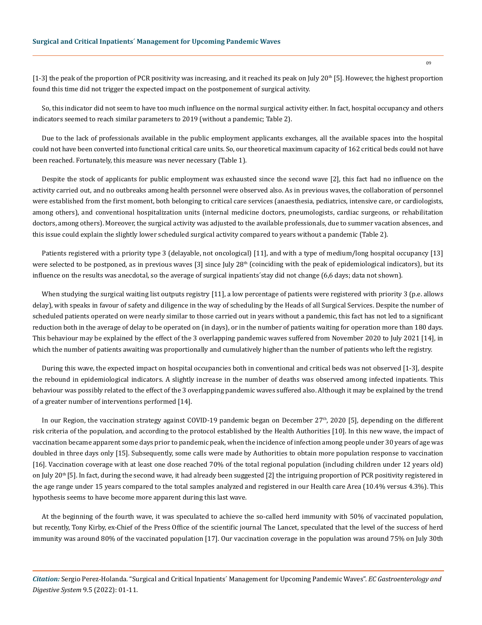$[1-3]$  the peak of the proportion of PCR positivity was increasing, and it reached its peak on July 20<sup>th</sup> [5]. However, the highest proportion found this time did not trigger the expected impact on the postponement of surgical activity.

So, this indicator did not seem to have too much influence on the normal surgical activity either. In fact, hospital occupancy and others indicators seemed to reach similar parameters to 2019 (without a pandemic; Table 2).

Due to the lack of professionals available in the public employment applicants exchanges, all the available spaces into the hospital could not have been converted into functional critical care units. So, our theoretical maximum capacity of 162 critical beds could not have been reached. Fortunately, this measure was never necessary (Table 1).

Despite the stock of applicants for public employment was exhausted since the second wave [2], this fact had no influence on the activity carried out, and no outbreaks among health personnel were observed also. As in previous waves, the collaboration of personnel were established from the first moment, both belonging to critical care services (anaesthesia, pediatrics, intensive care, or cardiologists, among others), and conventional hospitalization units (internal medicine doctors, pneumologists, cardiac surgeons, or rehabilitation doctors, among others). Moreover, the surgical activity was adjusted to the available professionals, due to summer vacation absences, and this issue could explain the slightly lower scheduled surgical activity compared to years without a pandemic (Table 2).

Patients registered with a priority type 3 (delayable, not oncological) [11], and with a type of medium/long hospital occupancy [13] were selected to be postponed, as in previous waves [3] since July  $28<sup>th</sup>$  (coinciding with the peak of epidemiological indicators), but its influence on the results was anecdotal, so the average of surgical inpatients´stay did not change (6,6 days; data not shown).

When studying the surgical waiting list outputs registry [11], a low percentage of patients were registered with priority 3 (p.e. allows delay), with speaks in favour of safety and diligence in the way of scheduling by the Heads of all Surgical Services. Despite the number of scheduled patients operated on were nearly similar to those carried out in years without a pandemic, this fact has not led to a significant reduction both in the average of delay to be operated on (in days), or in the number of patients waiting for operation more than 180 days. This behaviour may be explained by the effect of the 3 overlapping pandemic waves suffered from November 2020 to July 2021 [14], in which the number of patients awaiting was proportionally and cumulatively higher than the number of patients who left the registry.

During this wave, the expected impact on hospital occupancies both in conventional and critical beds was not observed [1-3], despite the rebound in epidemiological indicators. A slightly increase in the number of deaths was observed among infected inpatients. This behaviour was possibly related to the effect of the 3 overlapping pandemic waves suffered also. Although it may be explained by the trend of a greater number of interventions performed [14].

In our Region, the vaccination strategy against COVID-19 pandemic began on December  $27<sup>th</sup>$ , 2020 [5], depending on the different risk criteria of the population, and according to the protocol established by the Health Authorities [10]. In this new wave, the impact of vaccination became apparent some days prior to pandemic peak, when the incidence of infection among people under 30 years of age was doubled in three days only [15]. Subsequently, some calls were made by Authorities to obtain more population response to vaccination [16]. Vaccination coverage with at least one dose reached 70% of the total regional population (including children under 12 years old) on July 20<sup>th</sup> [5]. In fact, during the second wave, it had already been suggested [2] the intriguing proportion of PCR positivity registered in the age range under 15 years compared to the total samples analyzed and registered in our Health care Area (10.4% versus 4.3%). This hypothesis seems to have become more apparent during this last wave.

At the beginning of the fourth wave, it was speculated to achieve the so-called herd immunity with 50% of vaccinated population, but recently, Tony Kirby, ex-Chief of the Press Office of the scientific journal The Lancet, speculated that the level of the success of herd immunity was around 80% of the vaccinated population [17]. Our vaccination coverage in the population was around 75% on July 30th

*Citation:* Sergio Perez-Holanda*.* "Surgical and Critical Inpatients´ Management for Upcoming Pandemic Waves". *EC Gastroenterology and Digestive System* 9.5 (2022): 01-11.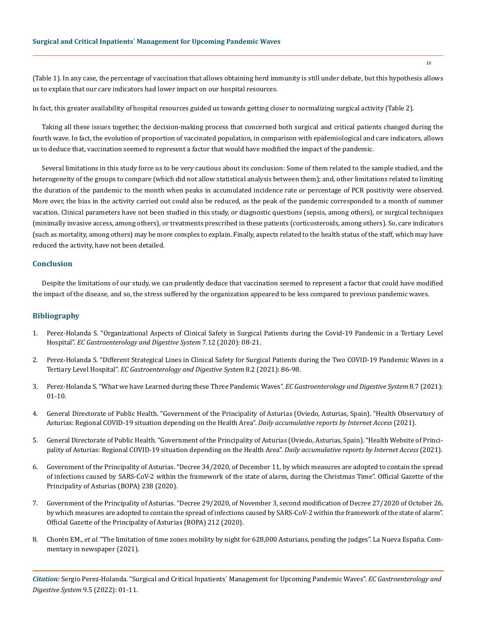(Table 1). In any case, the percentage of vaccination that allows obtaining herd immunity is still under debate, but this hypothesis allows us to explain that our care indicators had lower impact on our hospital resources.

In fact, this greater availability of hospital resources guided us towards getting closer to normalizing surgical activity (Table 2).

Taking all these issues together, the decision-making process that concerned both surgical and critical patients changed during the fourth wave. In fact, the evolution of proportion of vaccinated population, in comparison with epidemiological and care indicators, allows us to deduce that, vaccination seemed to represent a factor that would have modified the impact of the pandemic.

Several limitations in this study force us to be very cautious about its conclusion: Some of them related to the sample studied, and the heterogeneity of the groups to compare (which did not allow statistical analysis between them); and, other limitations related to limiting the duration of the pandemic to the month when peaks in accumulated incidence rate or percentage of PCR positivity were observed. More over, the bias in the activity carried out could also be reduced, as the peak of the pandemic corresponded to a month of summer vacation. Clinical parameters have not been studied in this study, or diagnostic questions (sepsis, among others), or surgical techniques (minimally invasive access, among others), or treatments prescribed in these patients (corticosteroids, among others). So, care indicators (such as mortality, among others) may be more complex to explain. Finally, aspects related to the health status of the staff, which may have reduced the activity, have not been detailed.

#### **Conclusion**

Despite the limitations of our study, we can prudently deduce that vaccination seemed to represent a factor that could have modified the impact of the disease, and so, the stress suffered by the organization appeared to be less compared to previous pandemic waves.

#### **Bibliography**

- 1. Perez-Holanda S. "Organizational Aspects of Clinical Safety in Surgical Patients during the Covid-19 Pandemic in a Tertiary Level Hospital". *EC Gastroenterology and Digestive System* 7.12 (2020): 08-21.
- 2. Perez-Holanda S. "Different Strategical Lines in Clinical Safety for Surgical Patients during the Two COVID-19 Pandemic Waves in a Tertiary Level Hospital". *EC Gastroenterology and Digestive System* 8.2 (2021): 86-98.
- 3. Perez-Holanda S. "What we have Learned during these Three Pandemic Waves". *EC Gastroenterology and Digestive System* 8.7 (2021): 01-10.
- 4. General Directorate of Public Health. "Government of the Principality of Asturias (Oviedo, Asturias, Spain). "Health Observatory of Asturias: Regional COVID-19 situation depending on the Health Area". *Daily accumulative reports by Internet Access* (2021).
- 5. General Directorate of Public Health. "Government of the Principality of Asturias (Oviedo, Asturias, Spain). "Health Website of Principality of Asturias: Regional COVID-19 situation depending on the Health Area". *Daily accumulative reports by Internet Access* (2021).
- 6. Government of the Principality of Asturias. "Decree 34/2020, of December 11, by which measures are adopted to contain the spread of infections caused by SARS-CoV-2 within the framework of the state of alarm, during the Christmas Time". Official Gazette of the Principality of Asturias (BOPA) 238 (2020).
- 7. Government of the Principality of Asturias. "Decree 29/2020, of November 3, second modification of Decree 27/2020 of October 26, by which measures are adopted to contain the spread of infections caused by SARS-CoV-2 within the framework of the state of alarm". Official Gazette of the Principality of Asturias (BOPA) 212 (2020).
- 8. Chorén EM., *et al.* "The limitation of time zones mobility by night for 628,000 Asturians, pending the judges". La Nueva España. Commentary in newspaper (2021).

*Citation:* Sergio Perez-Holanda*.* "Surgical and Critical Inpatients´ Management for Upcoming Pandemic Waves". *EC Gastroenterology and Digestive System* 9.5 (2022): 01-11.